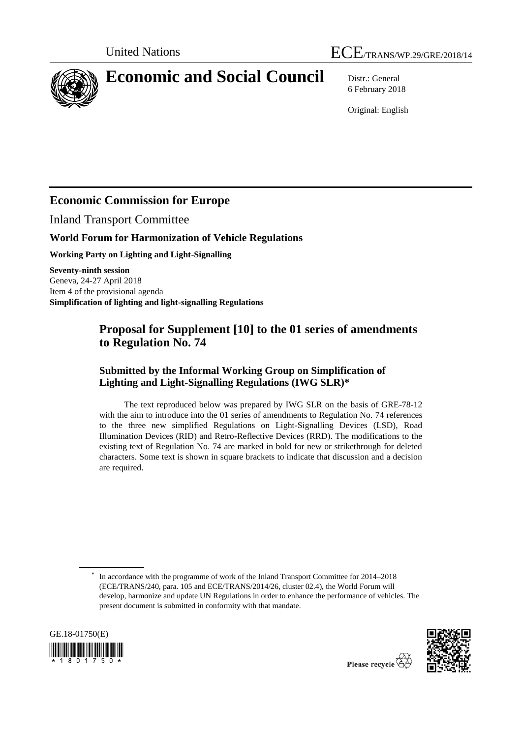



# **Economic and Social Council** Distr.: General

6 February 2018

Original: English

# **Economic Commission for Europe**

Inland Transport Committee

#### **World Forum for Harmonization of Vehicle Regulations**

**Working Party on Lighting and Light-Signalling**

**Seventy-ninth session** Geneva, 24-27 April 2018 Item 4 of the provisional agenda **Simplification of lighting and light-signalling Regulations** 

## **Proposal for Supplement [10] to the 01 series of amendments to Regulation No. 74**

#### **Submitted by the Informal Working Group on Simplification of Lighting and Light-Signalling Regulations (IWG SLR)\***

The text reproduced below was prepared by IWG SLR on the basis of GRE-78-12 with the aim to introduce into the 01 series of amendments to Regulation No. 74 references to the three new simplified Regulations on Light-Signalling Devices (LSD), Road Illumination Devices (RID) and Retro-Reflective Devices (RRD). The modifications to the existing text of Regulation No. 74 are marked in bold for new or strikethrough for deleted characters. Some text is shown in square brackets to indicate that discussion and a decision are required.

<sup>\*</sup> In accordance with the programme of work of the Inland Transport Committee for 2014–2018 (ECE/TRANS/240, para. 105 and ECE/TRANS/2014/26, cluster 02.4), the World Forum will develop, harmonize and update UN Regulations in order to enhance the performance of vehicles. The present document is submitted in conformity with that mandate.



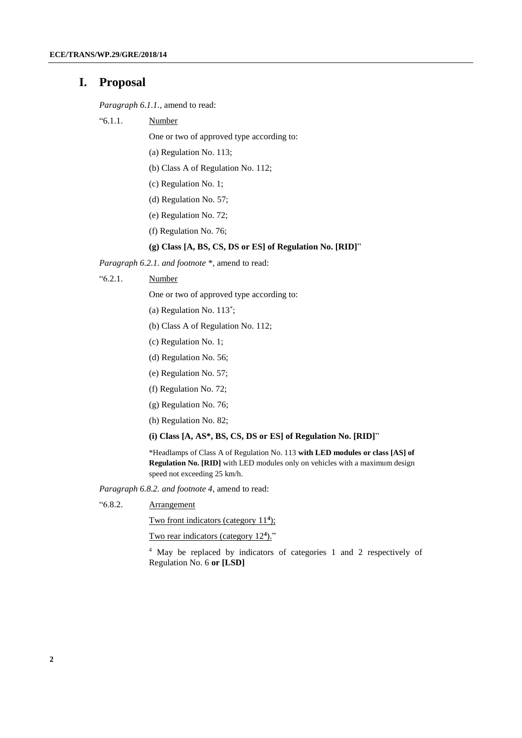#### **I. Proposal**

*Paragraph 6.1.1.,* amend to read:

"6.1.1. Number

One or two of approved type according to:

- (a) Regulation No. 113;
- (b) Class A of Regulation No. 112;
- (c) Regulation No. 1;
- (d) Regulation No. 57;
- (e) Regulation No. 72;
- (f) Regulation No. 76;

#### **(g) Class [A, BS, CS, DS or ES] of Regulation No. [RID]**"

*Paragraph 6.2.1. and footnote \*,* amend to read:

"6.2.1. Number

One or two of approved type according to:

- (a) Regulation No. 113\* ;
- (b) Class A of Regulation No. 112;
- (c) Regulation No. 1;
- (d) Regulation No. 56;
- (e) Regulation No. 57;
- (f) Regulation No. 72;
- (g) Regulation No. 76;
- (h) Regulation No. 82;
- **(i) Class [A, AS\*, BS, CS, DS or ES] of Regulation No. [RID]**"

\*Headlamps of Class A of Regulation No. 113 **with LED modules or class [AS] of Regulation No. [RID]** with LED modules only on vehicles with a maximum design speed not exceeding 25 km/h.

*Paragraph 6.8.2. and footnote 4,* amend to read:

"6.8.2. Arrangement

Two front indicators (category 11**<sup>4</sup>** );

Two rear indicators (category 12<sup>4</sup>)."

<sup>4</sup> May be replaced by indicators of categories 1 and 2 respectively of Regulation No. 6 **or [LSD]**